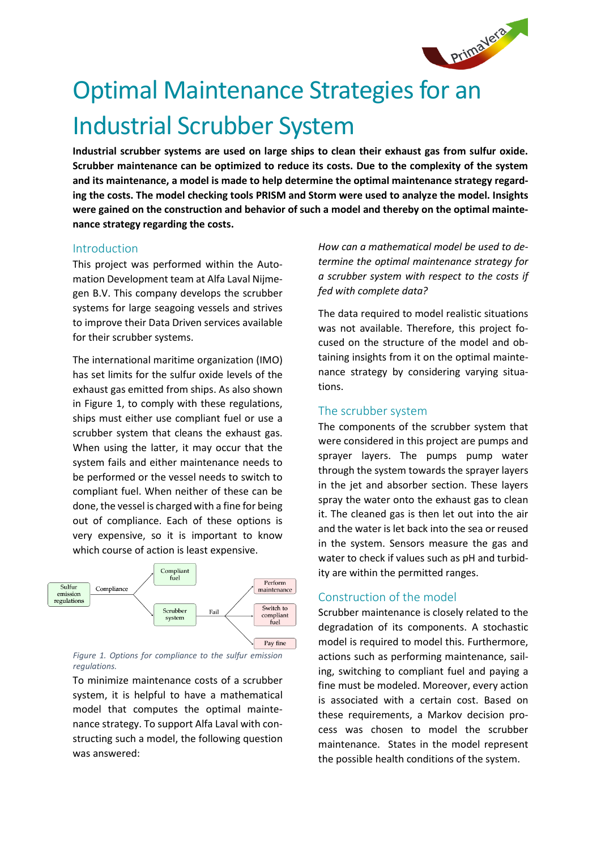

# Optimal Maintenance Strategies for an Industrial Scrubber System

**Industrial scrubber systems are used on large ships to clean their exhaust gas from sulfur oxide. Scrubber maintenance can be optimized to reduce its costs. Due to the complexity of the system and its maintenance, a model is made to help determine the optimal maintenance strategy regarding the costs. The model checking tools PRISM and Storm were used to analyze the model. Insights were gained on the construction and behavior of such a model and thereby on the optimal maintenance strategy regarding the costs.**

### Introduction

This project was performed within the Automation Development team at Alfa Laval Nijmegen B.V. This company develops the scrubber systems for large seagoing vessels and strives to improve their Data Driven services available for their scrubber systems.

The international maritime organization (IMO) has set limits for the sulfur oxide levels of the exhaust gas emitted from ships. As also shown in Figure 1, to comply with these regulations, ships must either use compliant fuel or use a scrubber system that cleans the exhaust gas. When using the latter, it may occur that the system fails and either maintenance needs to be performed or the vessel needs to switch to compliant fuel. When neither of these can be done, the vessel is charged with a fine for being out of compliance. Each of these options is very expensive, so it is important to know which course of action is least expensive.



#### *Figure 1. Options for compliance to the sulfur emission regulations.*

To minimize maintenance costs of a scrubber system, it is helpful to have a mathematical model that computes the optimal maintenance strategy. To support Alfa Laval with constructing such a model, the following question was answered:

*How can a mathematical model be used to determine the optimal maintenance strategy for a scrubber system with respect to the costs if fed with complete data?*

The data required to model realistic situations was not available. Therefore, this project focused on the structure of the model and obtaining insights from it on the optimal maintenance strategy by considering varying situations.

# The scrubber system

The components of the scrubber system that were considered in this project are pumps and sprayer layers. The pumps pump water through the system towards the sprayer layers in the jet and absorber section. These layers spray the water onto the exhaust gas to clean it. The cleaned gas is then let out into the air and the water is let back into the sea or reused in the system. Sensors measure the gas and water to check if values such as pH and turbidity are within the permitted ranges.

# Construction of the model

Scrubber maintenance is closely related to the degradation of its components. A stochastic model is required to model this. Furthermore, actions such as performing maintenance, sailing, switching to compliant fuel and paying a fine must be modeled. Moreover, every action is associated with a certain cost. Based on these requirements, a Markov decision process was chosen to model the scrubber maintenance. States in the model represent the possible health conditions of the system.